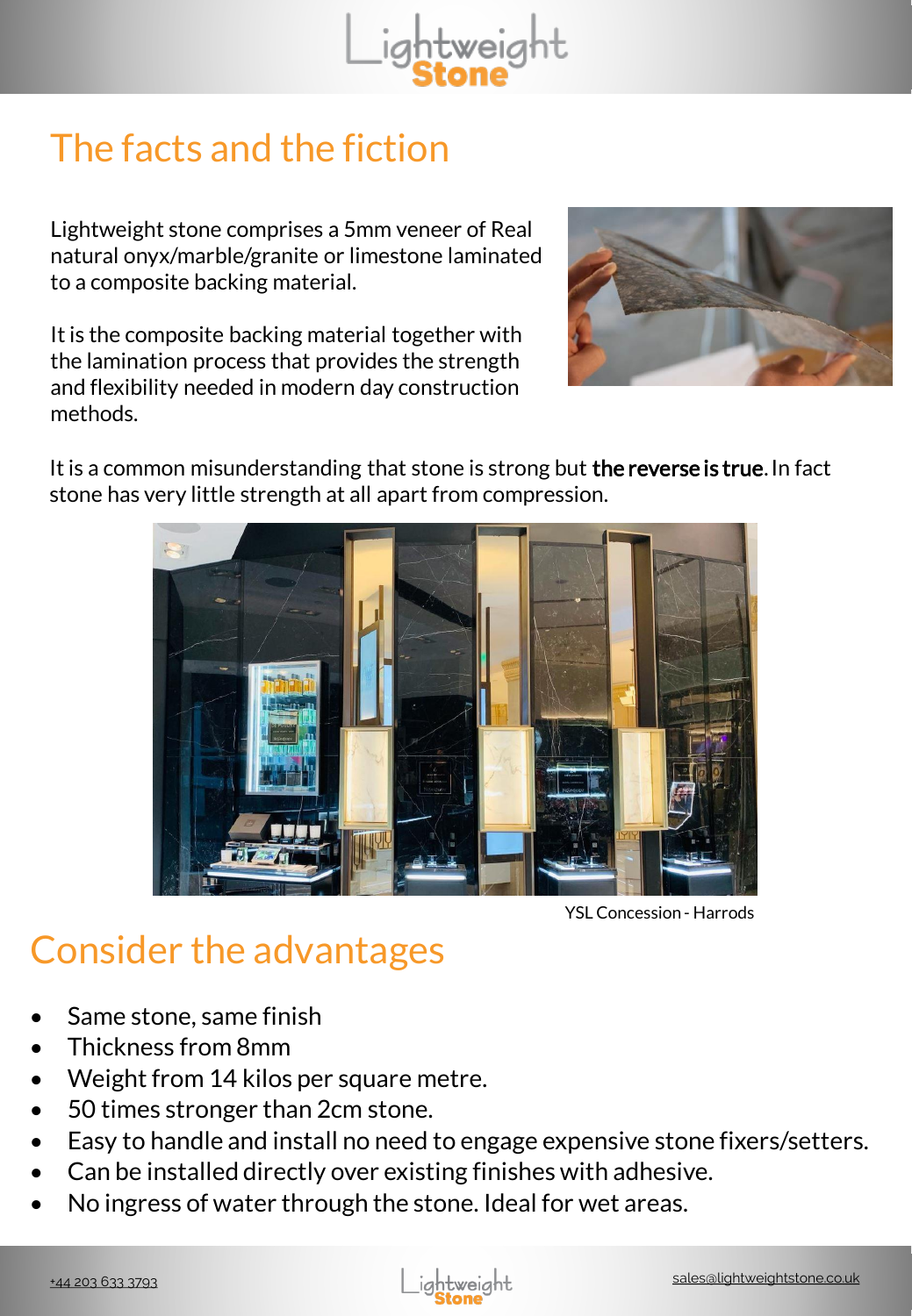

## The facts and the fiction

Lightweight stone comprises a 5mm veneer of Real natural onyx/marble/granite or limestone laminated to a composite backing material.

It is the composite backing material together with the lamination process that provides the strength and flexibility needed in modern day construction methods.



It is a common misunderstanding that stone is strong but the reverse is true. In fact stone has very little strength at all apart from compression.



YSL Concession - Harrods

## Consider the advantages

- Same stone, same finish
- Thickness from 8mm
- Weight from 14 kilos per square metre.
- 50 times stronger than 2cm stone.
- Easy to handle and install no need to engage expensive stone fixers/setters.
- Can be installed directly over existing finishes with adhesive.
- No ingress of water through the stone. Ideal for wet areas.